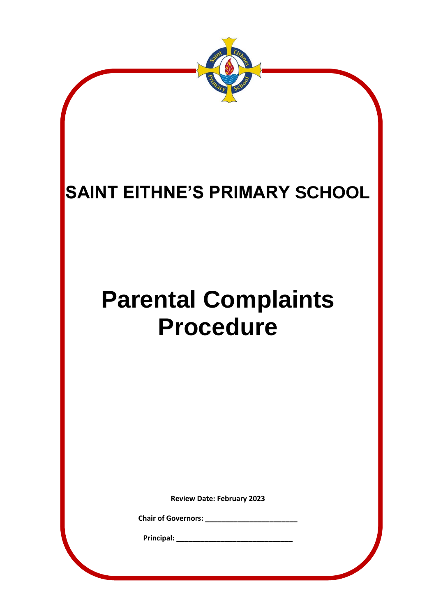

## **SAINT EITHNE'S PRIMARY SCHOOL**

# **Parental Complaints Procedure**

**Review Date: February 2023**

**Chair of Governors: \_\_\_\_\_\_\_\_\_\_\_\_\_\_\_\_\_\_\_\_\_\_\_**

**Principal: \_\_\_\_\_\_\_\_\_\_\_\_\_\_\_\_\_\_\_\_\_\_\_\_\_\_\_\_\_**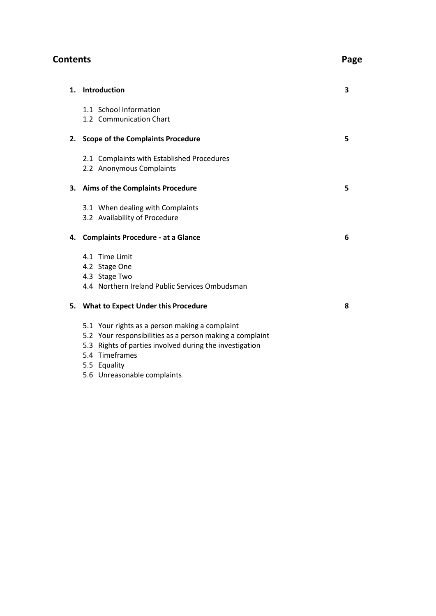## **Contents** Page

|    | 1. Introduction                                                                                                                                                                         | 3 |
|----|-----------------------------------------------------------------------------------------------------------------------------------------------------------------------------------------|---|
|    | 1.1 School Information<br>1.2 Communication Chart                                                                                                                                       |   |
|    | 2. Scope of the Complaints Procedure                                                                                                                                                    | 5 |
|    | 2.1 Complaints with Established Procedures<br>2.2 Anonymous Complaints                                                                                                                  |   |
|    | 3. Aims of the Complaints Procedure                                                                                                                                                     | 5 |
|    | 3.1 When dealing with Complaints<br>3.2 Availability of Procedure                                                                                                                       |   |
| 4. | <b>Complaints Procedure - at a Glance</b>                                                                                                                                               | 6 |
|    | 4.1 Time Limit<br>4.2 Stage One<br>4.3 Stage Two<br>4.4 Northern Ireland Public Services Ombudsman                                                                                      |   |
|    | 5. What to Expect Under this Procedure                                                                                                                                                  | 8 |
|    | 5.1 Your rights as a person making a complaint<br>5.2 Your responsibilities as a person making a complaint<br>5.3 Rights of parties involved during the investigation<br>5.4 Timeframes |   |

- 5.5 Equality
- 5.6 Unreasonable complaints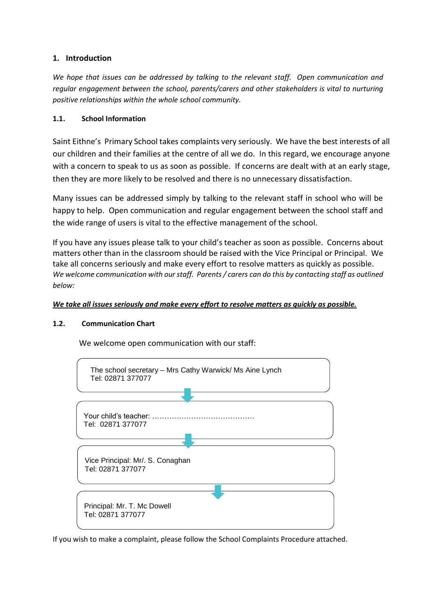#### **1. Introduction**

*We hope that issues can be addressed by talking to the relevant staff. Open communication and regular engagement between the school, parents/carers and other stakeholders is vital to nurturing positive relationships within the whole school community.*

#### **1.1. School Information**

Saint Eithne's Primary School takes complaints very seriously. We have the best interests of all our children and their families at the centre of all we do. In this regard, we encourage anyone with a concern to speak to us as soon as possible. If concerns are dealt with at an early stage, then they are more likely to be resolved and there is no unnecessary dissatisfaction.

Many issues can be addressed simply by talking to the relevant staff in school who will be happy to help. Open communication and regular engagement between the school staff and the wide range of users is vital to the effective management of the school.

If you have any issues please talk to your child's teacher as soon as possible. Concerns about matters other than in the classroom should be raised with the Vice Principal or Principal. We take all concerns seriously and make every effort to resolve matters as quickly as possible. *We welcome communication with our staff. Parents/ carers can do this by contacting staff as outlined below:*

#### *We take all issues seriously and make every effort to resolve matters as quickly as possible.*

#### **1.2. Communication Chart**

We welcome open communication with our staff:



If you wish to make a complaint, please follow the School Complaints Procedure attached.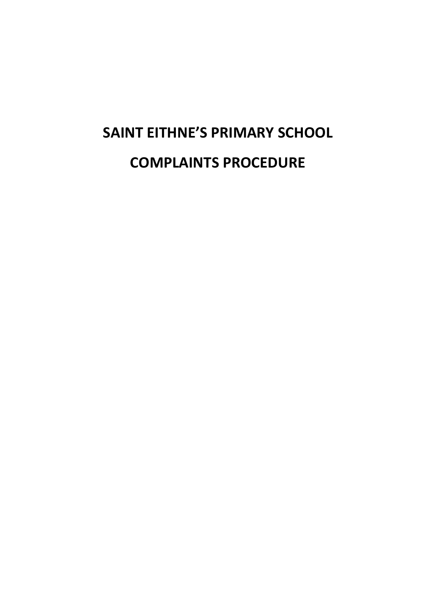## **SAINT EITHNE'S PRIMARY SCHOOL COMPLAINTS PROCEDURE**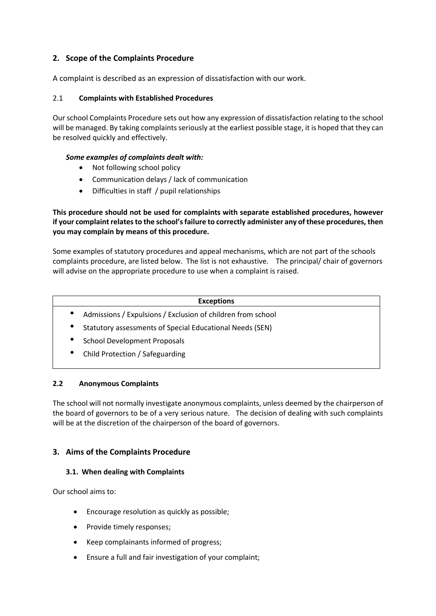#### **2. Scope of the Complaints Procedure**

A complaint is described as an expression of dissatisfaction with our work.

#### 2.1 **Complaints with Established Procedures**

Our school Complaints Procedure sets out how any expression of dissatisfaction relating to the school will be managed. By taking complaints seriously at the earliest possible stage, it is hoped that they can be resolved quickly and effectively.

#### *Some examples of complaints dealt with:*

- Not following school policy
- Communication delays / lack of communication
- Difficulties in staff / pupil relationships

**This procedure should not be used for complaints with separate established procedures, however if your complaint relates to the school's failure to correctly administer any of these procedures, then you may complain by means of this procedure.**

Some examples of statutory procedures and appeal mechanisms, which are not part of the schools complaints procedure, are listed below. The list is not exhaustive. The principal/ chair of governors will advise on the appropriate procedure to use when a complaint is raised.

### **Exceptions** • Admissions / Expulsions / Exclusion of children from school • Statutory assessments of Special Educational Needs (SEN)

- School Development Proposals
- Child Protection / Safeguarding

#### **2.2 Anonymous Complaints**

The school will not normally investigate anonymous complaints, unless deemed by the chairperson of the board of governors to be of a very serious nature. The decision of dealing with such complaints will be at the discretion of the chairperson of the board of governors.

#### **3. Aims of the Complaints Procedure**

#### **3.1. When dealing with Complaints**

Our school aims to:

- Encourage resolution as quickly as possible;
- Provide timely responses;
- Keep complainants informed of progress;
- Ensure a full and fair investigation of your complaint;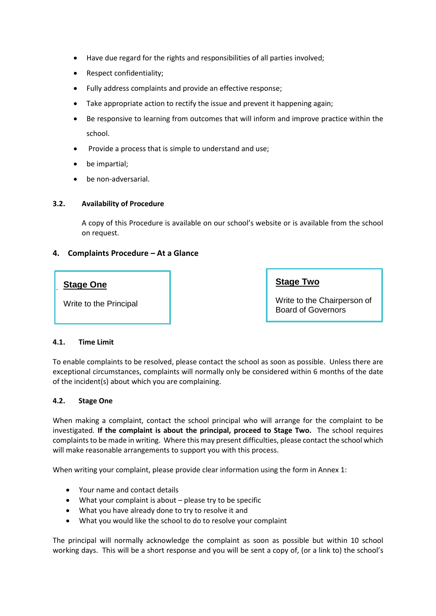- Have due regard for the rights and responsibilities of all parties involved;
- Respect confidentiality;
- Fully address complaints and provide an effective response;
- Take appropriate action to rectify the issue and prevent it happening again;
- Be responsive to learning from outcomes that will inform and improve practice within the school.
- Provide a process that is simple to understand and use;
- be impartial;
- be non-adversarial.

#### **3.2. Availability of Procedure**

A copy of this Procedure is available on our school's website or is available from the school on request.

#### **4. Complaints Procedure – At a Glance**

**Stage One**

Write to the Principal

**Stage Two**

Write to the Chairperson of Board of Governors

#### **4.1. Time Limit**

To enable complaints to be resolved, please contact the school as soon as possible. Unless there are exceptional circumstances, complaints will normally only be considered within 6 months of the date of the incident(s) about which you are complaining.

#### **4.2. Stage One**

When making a complaint, contact the school principal who will arrange for the complaint to be investigated*.* **If the complaint is about the principal, proceed to Stage Two.** The school requires complaints to be made in writing. Where this may present difficulties, please contact the school which will make reasonable arrangements to support you with this process.

When writing your complaint, please provide clear information using the form in Annex 1:

- Your name and contact details
- What your complaint is about please try to be specific
- What you have already done to try to resolve it and
- What you would like the school to do to resolve your complaint

The principal will normally acknowledge the complaint as soon as possible but within 10 school working days. This will be a short response and you will be sent a copy of, (or a link to) the school's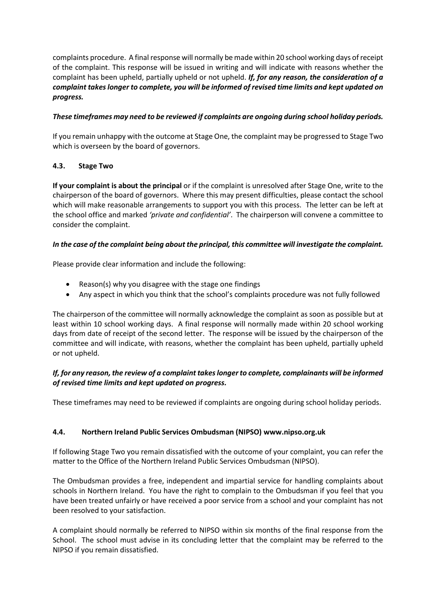complaints procedure. A final response will normally be made within 20 school working days of receipt of the complaint. This response will be issued in writing and will indicate with reasons whether the complaint has been upheld, partially upheld or not upheld. *If, for any reason, the consideration of a complaint takes longer to complete, you will be informed of revised time limits and kept updated on progress.*

#### *These timeframes may need to be reviewed if complaints are ongoing during school holiday periods.*

If you remain unhappy with the outcome at Stage One, the complaint may be progressed to Stage Two which is overseen by the board of governors.

#### **4.3. Stage Two**

**If your complaint is about the principal** or if the complaint is unresolved after Stage One, write to the chairperson of the board of governors. Where this may present difficulties, please contact the school which will make reasonable arrangements to support you with this process. The letter can be left at the school office and marked *'private and confidential'*.The chairperson will convene a committee to consider the complaint.

#### *In the case of the complaint being about the principal, this committee will investigate the complaint.*

Please provide clear information and include the following:

- Reason(s) why you disagree with the stage one findings
- Any aspect in which you think that the school's complaints procedure was not fully followed

The chairperson of the committee will normally acknowledge the complaint as soon as possible but at least within 10 school working days. A final response will normally made within 20 school working days from date of receipt of the second letter. The response will be issued by the chairperson of the committee and will indicate, with reasons, whether the complaint has been upheld, partially upheld or not upheld.

#### *If, for any reason, the review of a complaint takes longer to complete, complainants will be informed of revised time limits and kept updated on progress.*

These timeframes may need to be reviewed if complaints are ongoing during school holiday periods.

#### **4.4. Northern Ireland Public Services Ombudsman (NIPSO) www.nipso.org.uk**

If following Stage Two you remain dissatisfied with the outcome of your complaint, you can refer the matter to the Office of the Northern Ireland Public Services Ombudsman (NIPSO).

The Ombudsman provides a free, independent and impartial service for handling complaints about schools in Northern Ireland. You have the right to complain to the Ombudsman if you feel that you have been treated unfairly or have received a poor service from a school and your complaint has not been resolved to your satisfaction.

A complaint should normally be referred to NIPSO within six months of the final response from the School. The school must advise in its concluding letter that the complaint may be referred to the NIPSO if you remain dissatisfied.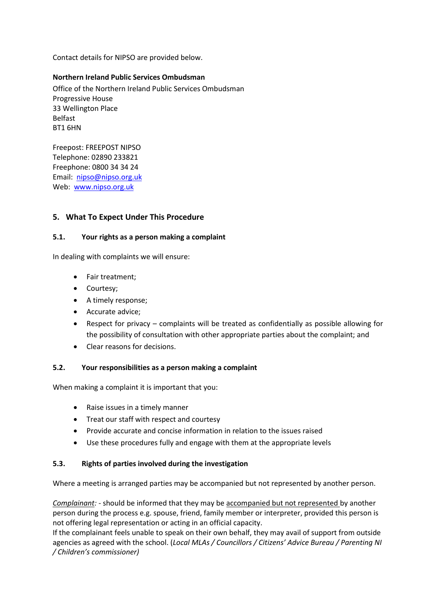Contact details for NIPSO are provided below.

**Northern Ireland Public Services Ombudsman** Office of the Northern Ireland Public Services Ombudsman Progressive House 33 Wellington Place Belfast BT1 6HN

Freepost: FREEPOST NIPSO Telephone: 02890 233821 Freephone: 0800 34 34 24 Email: [nipso@nipso.org.uk](mailto:nipso@nipso.org.uk) Web: [www.nipso.org.uk](http://www.nipso.org.uk/)

#### **5. What To Expect Under This Procedure**

#### **5.1. Your rights as a person making a complaint**

In dealing with complaints we will ensure:

- Fair treatment;
- Courtesy;
- A timely response;
- Accurate advice;
- Respect for privacy complaints will be treated as confidentially as possible allowing for the possibility of consultation with other appropriate parties about the complaint; and
- Clear reasons for decisions.

#### **5.2. Your responsibilities as a person making a complaint**

When making a complaint it is important that you:

- Raise issues in a timely manner
- Treat our staff with respect and courtesy
- Provide accurate and concise information in relation to the issues raised
- Use these procedures fully and engage with them at the appropriate levels

#### **5.3. Rights of parties involved during the investigation**

Where a meeting is arranged parties may be accompanied but not represented by another person.

*Complainant:* - should be informed that they may be accompanied but not represented by another person during the process e.g. spouse, friend, family member or interpreter, provided this person is not offering legal representation or acting in an official capacity.

If the complainant feels unable to speak on their own behalf, they may avail of support from outside agencies as agreed with the school. (*Local MLAs / Councillors / Citizens' Advice Bureau / Parenting NI / Children's commissioner)*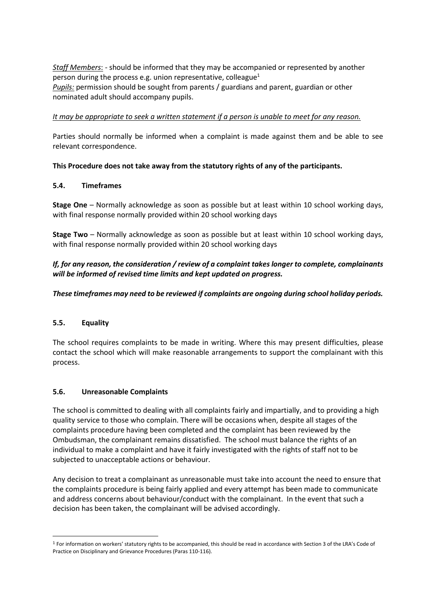*Staff Members*: - should be informed that they may be accompanied or represented by another person during the process e.g. union representative, colleague<sup>1</sup> *Pupils:* permission should be sought from parents / guardians and parent, guardian or other nominated adult should accompany pupils.

#### *It may be appropriate to seek a written statement if a person is unable to meet for any reason.*

Parties should normally be informed when a complaint is made against them and be able to see relevant correspondence.

#### **This Procedure does not take away from the statutory rights of any of the participants.**

#### **5.4. Timeframes**

**Stage One** – Normally acknowledge as soon as possible but at least within 10 school working days, with final response normally provided within 20 school working days

**Stage Two** – Normally acknowledge as soon as possible but at least within 10 school working days, with final response normally provided within 20 school working days

#### *If, for any reason, the consideration / review of a complaint takes longer to complete, complainants will be informed of revised time limits and kept updated on progress.*

#### *These timeframes may need to be reviewed if complaints are ongoing during school holiday periods.*

#### **5.5. Equality**

-

The school requires complaints to be made in writing. Where this may present difficulties, please contact the school which will make reasonable arrangements to support the complainant with this process.

#### **5.6. Unreasonable Complaints**

The school is committed to dealing with all complaints fairly and impartially, and to providing a high quality service to those who complain. There will be occasions when, despite all stages of the complaints procedure having been completed and the complaint has been reviewed by the Ombudsman, the complainant remains dissatisfied. The school must balance the rights of an individual to make a complaint and have it fairly investigated with the rights of staff not to be subjected to unacceptable actions or behaviour.

Any decision to treat a complainant as unreasonable must take into account the need to ensure that the complaints procedure is being fairly applied and every attempt has been made to communicate and address concerns about behaviour/conduct with the complainant. In the event that such a decision has been taken, the complainant will be advised accordingly.

 $1$  For information on workers' statutory rights to be accompanied, this should be read in accordance with Section 3 of the LRA's Code of Practice on Disciplinary and Grievance Procedures (Paras 110-116).